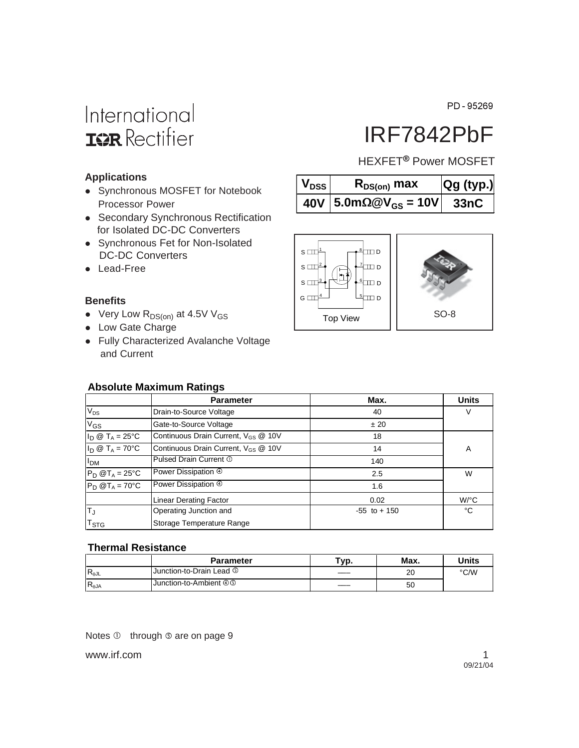PD-95269

# International **IGR** Rectifier

# IRF7842PbF

HEXFET<sup>®</sup> Power MOSFET

| $\mathsf{V}_{\mathsf{DSS}}\vert$ | $R_{DS(on)}$ max                         | Qg (typ.) |
|----------------------------------|------------------------------------------|-----------|
|                                  | 40V   5.0mΩ@V <sub>GS</sub> = 10V   33nC |           |



### **Applications**

- Synchronous MOSFET for Notebook Processor Power
- Secondary Synchronous Rectification for Isolated DC-DC Converters
- Synchronous Fet for Non-Isolated DC-DC Converters
- Lead-Free

### **Benefits**

- Very Low  $R_{DS(on)}$  at 4.5V V<sub>GS</sub>
- Low Gate Charge
- Fully Characterized Avalanche Voltage and Current

### **Absolute Maximum Ratings**

|                                 | <b>Parameter</b>                                | Max.            | <b>Units</b>         |  |
|---------------------------------|-------------------------------------------------|-----------------|----------------------|--|
| $V_{DS}$                        | Drain-to-Source Voltage                         | 40              | V                    |  |
| $V_{GS}$                        | Gate-to-Source Voltage                          | ± 20            |                      |  |
| $I_D \otimes T_A = 25$ °C       | Continuous Drain Current, $V_{GS}$ @ 10V        | 18              |                      |  |
| $I_D \otimes T_A = 70^{\circ}C$ | Continuous Drain Current, V <sub>GS</sub> @ 10V | 14              | A                    |  |
| I <sub>DM</sub>                 | Pulsed Drain Current 1                          | 140             |                      |  |
| $P_D$ @T <sub>A</sub> = 25°C    | Power Dissipation 4                             | 2.5             | W                    |  |
| $P_D @T_A = 70^\circ C$         | Power Dissipation 4                             | 1.6             |                      |  |
|                                 | <b>Linear Derating Factor</b>                   | 0.02            | $W$ <sup>o</sup> $C$ |  |
| T <sub>J</sub>                  | Operating Junction and                          | $-55$ to $+150$ | °C                   |  |
| <b>T<sub>STG</sub></b>          | Storage Temperature Range                       |                 |                      |  |

#### **Thermal Resistance**

|                                         | <b>Parameter</b>                    | тур. | Max. | Units |
|-----------------------------------------|-------------------------------------|------|------|-------|
| ${}^{\mathsf{I}}\mathsf{R}_{\theta}$ JL | Junction-to-Drain Lead <sup>5</sup> |      | 20   | °C/W  |
| $R_{\theta$ JA                          | Junction-to-Ambient 40              |      | 50   |       |

Notes  $\overline{0}$  through  $\overline{0}$  are on page 9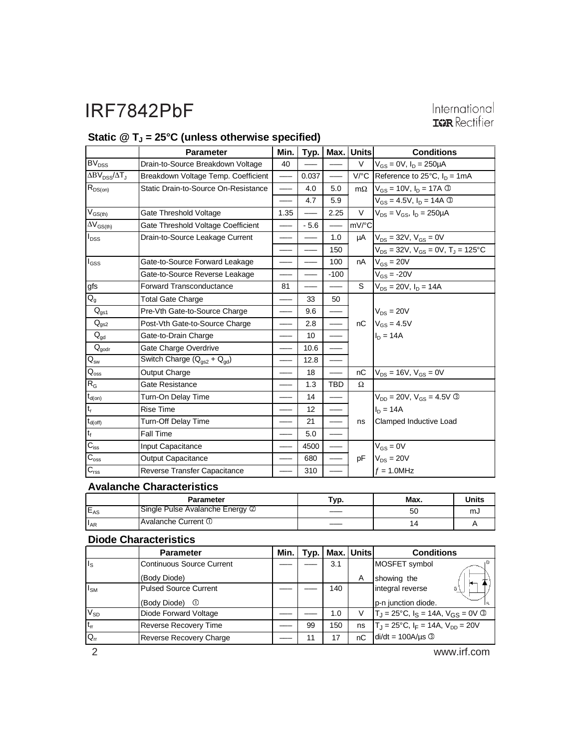# International<br> **ISR** Rectifier

### Static @ T<sub>J</sub> = 25°C (unless otherwise specified)

|                              | <b>Parameter</b>                                 | Min. |                 | $Typ.$   Max. | Units     | <b>Conditions</b>                                     |
|------------------------------|--------------------------------------------------|------|-----------------|---------------|-----------|-------------------------------------------------------|
| BV <sub>DSS</sub>            | Drain-to-Source Breakdown Voltage                | 40   |                 |               | $\vee$    | $V_{GS} = 0V$ , $I_D = 250 \mu A$                     |
| $\Delta BV_{DSS}/\Delta T_J$ | Breakdown Voltage Temp. Coefficient              |      | 0.037           |               | $V$ /°C   | Reference to $25^{\circ}$ C, $I_{D} = 1 \text{mA}$    |
| $R_{DS(on)}$                 | Static Drain-to-Source On-Resistance             |      | 4.0             | 5.0           | $m\Omega$ | $V_{GS}$ = 10V, $I_D$ = 17A ③                         |
|                              |                                                  |      | 4.7             | 5.9           |           | $V_{GS} = 4.5V, I_D = 14A$ 3                          |
| $V_{GS(th)}$                 | Gate Threshold Voltage                           | 1.35 |                 | 2.25          | V         | $V_{DS} = V_{GS}$ , $I_D = 250 \mu A$                 |
| $\Delta V_{\text{GS(th)}}$   | Gate Threshold Voltage Coefficient               |      | $-5.6$          |               | mV/°C     |                                                       |
| $I_{DSS}$                    | Drain-to-Source Leakage Current                  |      |                 | 1.0           | μA        | $V_{DS} = 32V, V_{GS} = 0V$                           |
|                              |                                                  |      |                 | 150           |           | $V_{DS}$ = 32V, $V_{GS}$ = 0V, T <sub>J</sub> = 125°C |
| $I_{GSS}$                    | Gate-to-Source Forward Leakage                   |      |                 | 100           | nA        | $V_{GS} = 20V$                                        |
|                              | Gate-to-Source Reverse Leakage                   |      |                 | $-100$        |           | $V_{GS}$ = -20V                                       |
| gfs                          | <b>Forward Transconductance</b>                  | 81   |                 |               | S         | $V_{DS} = 20V, I_D = 14A$                             |
| $Q_{g}$                      | <b>Total Gate Charge</b>                         |      | 33              | 50            |           |                                                       |
| $Q_{gs1}$                    | Pre-Vth Gate-to-Source Charge                    |      | 9.6             |               |           | $V_{DS} = 20V$                                        |
| $Q_{gs2}$                    | Post-Vth Gate-to-Source Charge                   |      | 2.8             |               | nC        | $V_{GS} = 4.5V$                                       |
| $Q_{gd}$                     | Gate-to-Drain Charge                             |      | 10 <sup>1</sup> |               |           | $I_D = 14A$                                           |
| $Q_{\text{godr}}$            | Gate Charge Overdrive                            |      | 10.6            |               |           |                                                       |
| $Q_{\rm sw}$                 | Switch Charge $(Q_{\text{as2}} + Q_{\text{od}})$ |      | 12.8            |               |           |                                                       |
| $\mathsf{Q}_\mathsf{oss}$    | Output Charge                                    |      | 18              |               | nC        | $V_{DS}$ = 16V, $V_{GS}$ = 0V                         |
| $R_G$                        | Gate Resistance                                  |      | 1.3             | <b>TBD</b>    | Ω         |                                                       |
| $t_{d(on)}$                  | Turn-On Delay Time                               |      | 14              |               |           | $V_{DD} = 20V$ , $V_{GS} = 4.5V$ 3                    |
| $t_r$                        | <b>Rise Time</b>                                 |      | 12              |               |           | $I_D = 14A$                                           |
| $t_{\text{d(off)}}$          | Turn-Off Delay Time                              |      | 21              |               | ns        | Clamped Inductive Load                                |
| $t_f$                        | Fall Time                                        |      | 5.0             |               |           |                                                       |
| $C_{iss}$                    | Input Capacitance                                |      | 4500            |               |           | $V_{GS} = 0V$                                         |
| $C_{\rm{oss}}$               | <b>Output Capacitance</b>                        |      | 680             |               | pF        | $V_{DS} = 20V$                                        |
| $C_{\text{rss}}$             | Reverse Transfer Capacitance                     |      | 310             |               |           | $f = 1.0$ MHz                                         |

### **Avalanche Characteristics**

|          | <b>Parameter</b>                | Typ. | Max. | Units |
|----------|---------------------------------|------|------|-------|
| $E_{AS}$ | Single Pulse Avalanche Energy 2 |      | 50   | mJ    |
| $I_{AR}$ | IAvalanche Current ①            |      | 4    |       |

#### **Diode Characteristics**

|                      | <b>Parameter</b>               | Min. | Typ. |     | Max. Units | <b>Conditions</b>                                   |
|----------------------|--------------------------------|------|------|-----|------------|-----------------------------------------------------|
| $\vert$ <sub>s</sub> | Continuous Source Current      |      |      | 3.1 |            | MOSFET symbol                                       |
|                      | (Body Diode)                   |      |      |     | A          | showing the                                         |
| $I_{\text{SM}}$      | <b>Pulsed Source Current</b>   |      |      | 140 |            | integral reverse                                    |
|                      | (Body Diode) <sup>1</sup>      |      |      |     |            | p-n junction diode.                                 |
| $V_{SD}$             | Diode Forward Voltage          |      |      | 1.0 |            | $T_J = 25^{\circ}C$ , $I_S = 14A$ , $V_{GS} = 0V$ 3 |
| $ t_{rr} $           | <b>Reverse Recovery Time</b>   |      | 99   | 150 | ns         | $T_J = 25^{\circ}C$ , $I_F = 14A$ , $V_{DD} = 20V$  |
| $Q_{\text{rr}}$      | <b>Reverse Recovery Charge</b> |      |      | 17  | nC         | $di/dt = 100A/\mu s$ 3                              |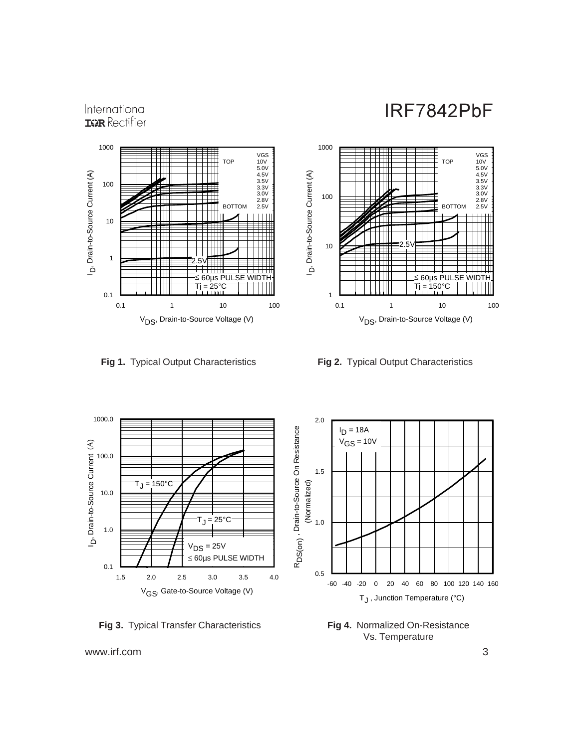VGS

3.5V 3.3V 3.0V 2.8V

TOP 10V 5.0V 4.5V

BOTTOM 2.5V

#### 1000 VGS TOP 10V 5.0V 4.5V D, Drain-to-Source Current (A) 3.5V 3.3V 3.0V 2.8V 100 Н ◫ BOTTOM 2.5V 10 **TTTLE** 1 2.5V ≤ 60µs PULSE WIDTH — Tj = 25°C 0.1 0.1 1 10 100 V<sub>DS</sub>, Drain-to-Source Voltage (V)

International **IGR** Rectifier



1

—

D. Drain-to-Source Current (A)

10

100

1000

0.1 1 10 100 V<sub>DS</sub>, Drain-to-Source Voltage (V)

2.5V

60µs PUI Tj = 150°C



**Fig 4.** Normalized On-Resistance Vs. Temperature

**Fig 3.** Typical Transfer Characteristics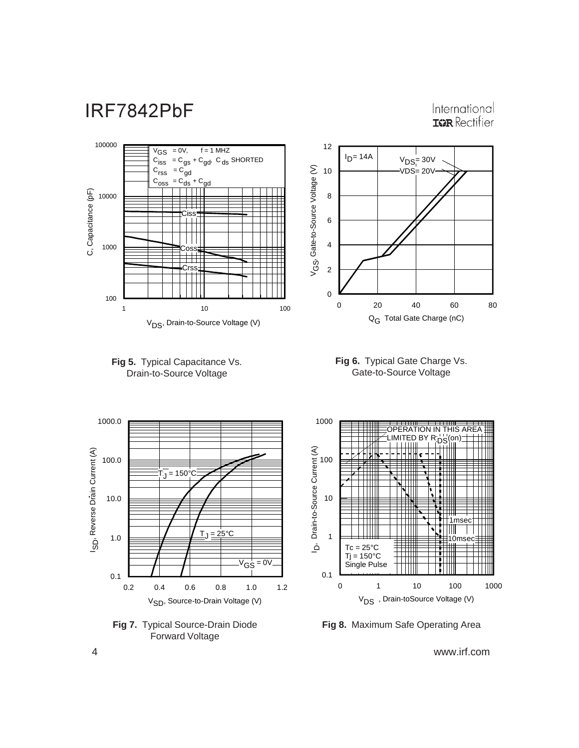International **IGR** Rectifier













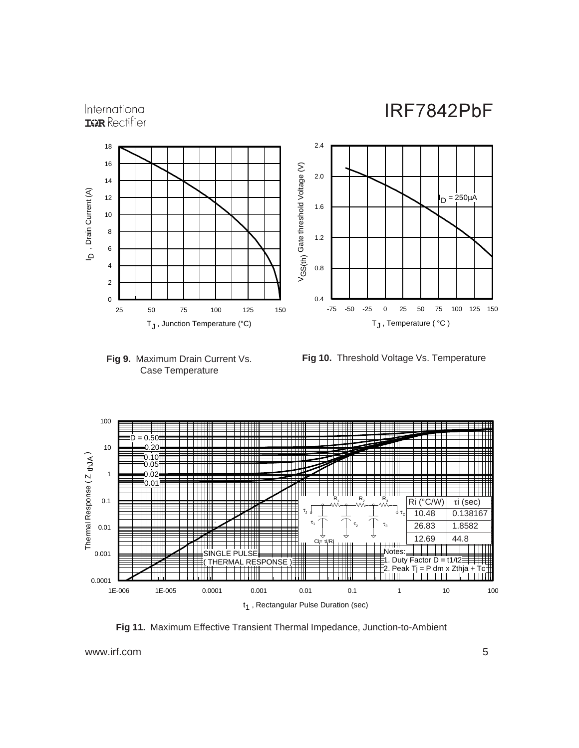



**Fig 10.** Threshold Voltage Vs. Temperature



**Fig 11.** Maximum Effective Transient Thermal Impedance, Junction-to-Ambient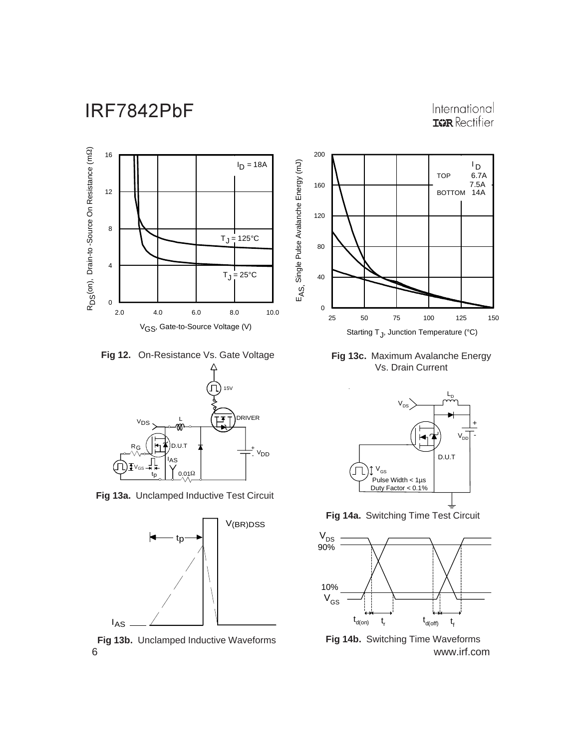### International **ISPR** Rectifier



**Fig 12.** On-Resistance Vs. Gate Voltage



**Fig 13a.** Unclamped Inductive Test Circuit



6 www.irf.com **Fig 13b.** Unclamped Inductive Waveforms



**Fig 13c.** Maximum Avalanche Energy Vs. Drain Current



**Fig 14a.** Switching Time Test Circuit



**Fig 14b.** Switching Time Waveforms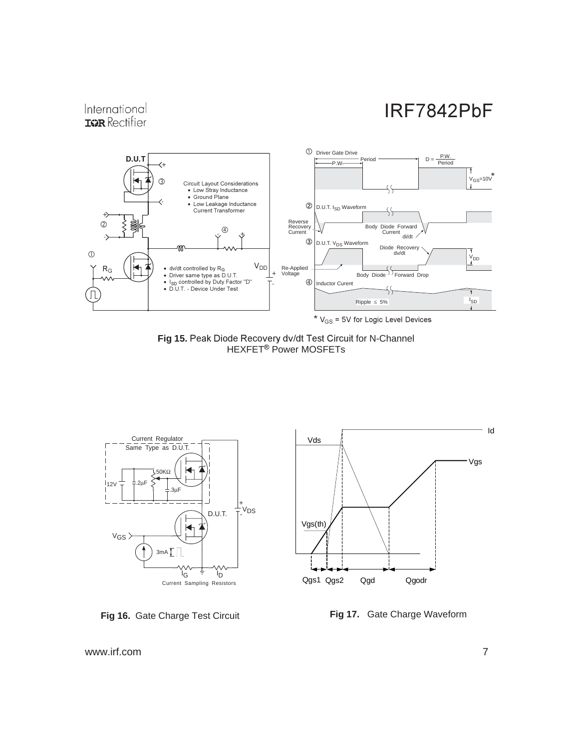### International **IGR** Rectifier



Fig 15. Peak Diode Recovery dv/dt Test Circuit for N-Channel HEXFET<sup>®</sup> Power MOSFETs







**Fig 17.** Gate Charge Waveform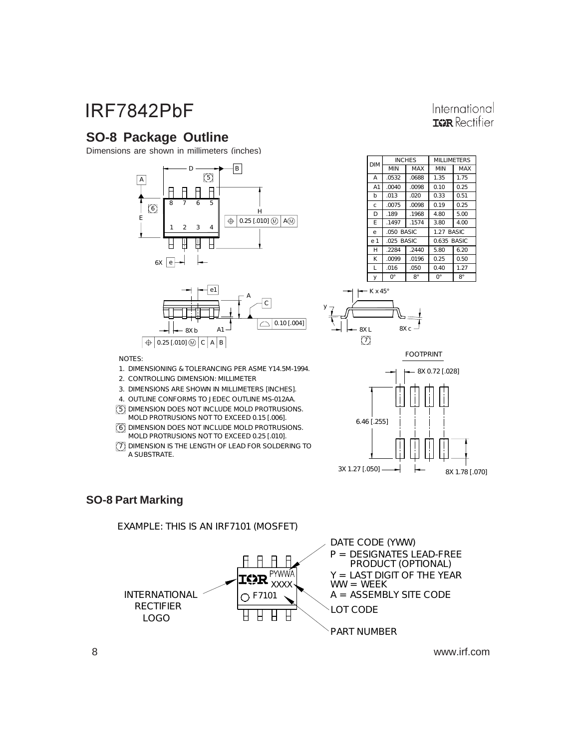### **SO-8 Package Outline**

Dimensions are shown in millimeters (inches)





#### $e<sub>1</sub>$  $\overline{D}$ E  $\overline{h}$ A A1  $\overline{H}$ K .189 .1497 .013 .050 BASIC .0532 .0040 .2284 .0099 .1968 .1574 .020 .0688 .0098 .2440 .0196 4.80 3.80 0.33 1.35 0.10 5.80 0.25 1.27 BASIC 5.00 4.00 0.51 1.75 0.25 6.20 0.50 MIN MAX INCHES MILLIMETERS DIM MINCHES MELLINETERS e c .0075 .0098 0.19 0.25 .025 BASIC 0.635 BASIC

0.40  $0^{\circ}$ 

1.27

International **IGR** Rectifier

8°



y

y

 $\overline{0}^{\circ}$ 

.016

L

NOTES:

- 1. DIMENS IONING & T OLERANCING PER AS ME Y14.5M-1994.
- 2. CONTROLLING DIMENS ION: MILLIMETER
- 3. DIMENS IONS ARE S HOWN IN MILLIMETERS [INCHES ].
- 4. OUT LINE CONFORMS TO JEDEC OUTLINE MS-012AA.
- 5 DIMENS ION DOES NOT INCLUDE MOLD PROTRUSIONS.
- 6 DIMENS ION DOES NOT INCLUDE MOLD PROTRUSIONS. MOLD PROT RUSIONS NOT TO EXCEED 0.15 [.006].
- MOLD PROT RUSIONS NOT TO EXCEED 0.25 [.010].
- 7 DIMENS ION IS T HE LENGTH OF LEAD FOR S OLDERING TO A SUBS TRAT E.



8°

.050



### **SO-8 Part Marking**

EXAMPLE: T HIS IS AN IRF7101 (MOS FET)